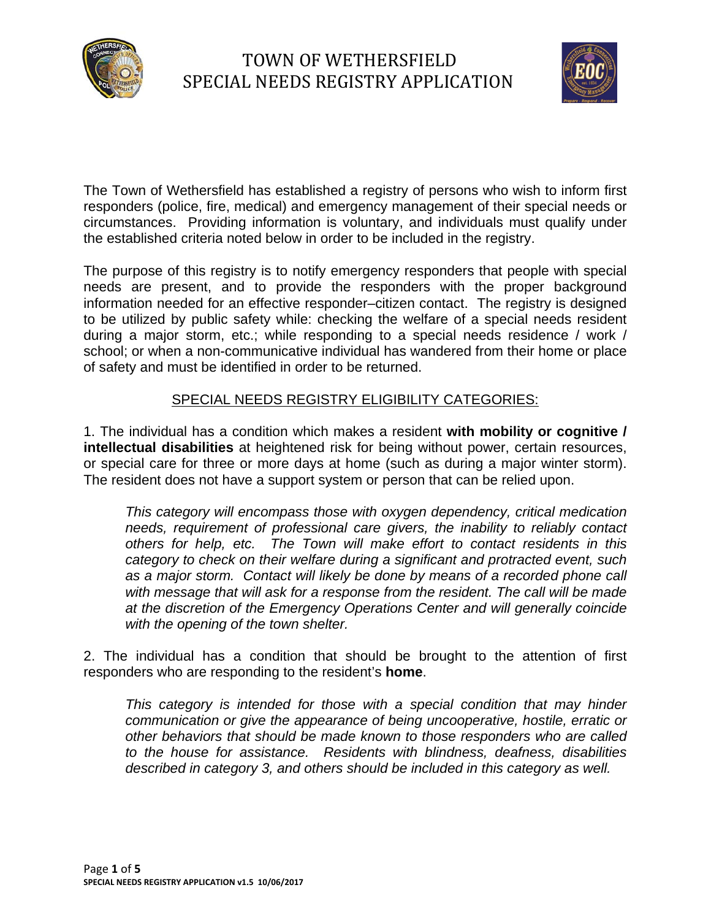

# TOWN OF WETHERSFIELD SPECIAL NEEDS REGISTRY APPLICATION



The Town of Wethersfield has established a registry of persons who wish to inform first responders (police, fire, medical) and emergency management of their special needs or circumstances. Providing information is voluntary, and individuals must qualify under the established criteria noted below in order to be included in the registry.

The purpose of this registry is to notify emergency responders that people with special needs are present, and to provide the responders with the proper background information needed for an effective responder–citizen contact. The registry is designed to be utilized by public safety while: checking the welfare of a special needs resident during a major storm, etc.; while responding to a special needs residence / work / school; or when a non-communicative individual has wandered from their home or place of safety and must be identified in order to be returned.

#### SPECIAL NEEDS REGISTRY ELIGIBILITY CATEGORIES:

1. The individual has a condition which makes a resident **with mobility or cognitive / intellectual disabilities** at heightened risk for being without power, certain resources, or special care for three or more days at home (such as during a major winter storm). The resident does not have a support system or person that can be relied upon.

*This category will encompass those with oxygen dependency, critical medication needs, requirement of professional care givers, the inability to reliably contact others for help, etc. The Town will make effort to contact residents in this category to check on their welfare during a significant and protracted event, such as a major storm. Contact will likely be done by means of a recorded phone call with message that will ask for a response from the resident. The call will be made at the discretion of the Emergency Operations Center and will generally coincide with the opening of the town shelter.*

2. The individual has a condition that should be brought to the attention of first responders who are responding to the resident's **home**.

*This category is intended for those with a special condition that may hinder communication or give the appearance of being uncooperative, hostile, erratic or other behaviors that should be made known to those responders who are called to the house for assistance. Residents with blindness, deafness, disabilities described in category 3, and others should be included in this category as well.*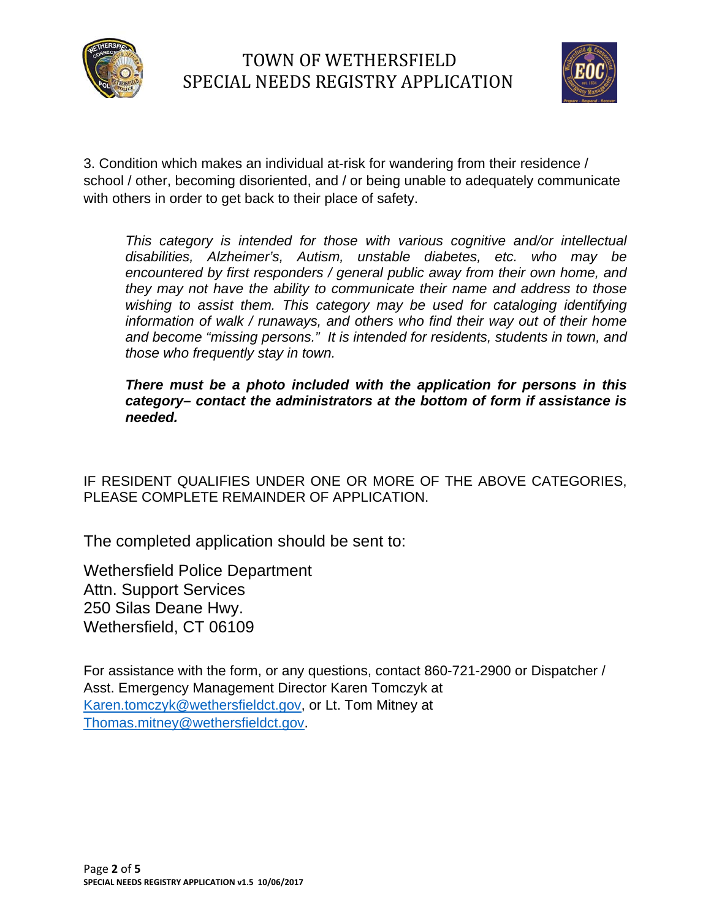



3. Condition which makes an individual at-risk for wandering from their residence / school / other, becoming disoriented, and / or being unable to adequately communicate with others in order to get back to their place of safety.

*This category is intended for those with various cognitive and/or intellectual disabilities, Alzheimer's, Autism, unstable diabetes, etc. who may be encountered by first responders / general public away from their own home, and they may not have the ability to communicate their name and address to those*  wishing to assist them. This category may be used for cataloging identifying *information of walk / runaways, and others who find their way out of their home and become "missing persons." It is intended for residents, students in town, and those who frequently stay in town.* 

*There must be a photo included with the application for persons in this category– contact the administrators at the bottom of form if assistance is needed.* 

IF RESIDENT QUALIFIES UNDER ONE OR MORE OF THE ABOVE CATEGORIES, PLEASE COMPLETE REMAINDER OF APPLICATION.

The completed application should be sent to:

Wethersfield Police Department Attn. Support Services 250 Silas Deane Hwy. Wethersfield, CT 06109

For assistance with the form, or any questions, contact 860-721-2900 or Dispatcher / Asst. Emergency Management Director Karen Tomczyk at Karen.tomczyk@wethersfieldct.gov, or Lt. Tom Mitney at Thomas.mitney@wethersfieldct.gov.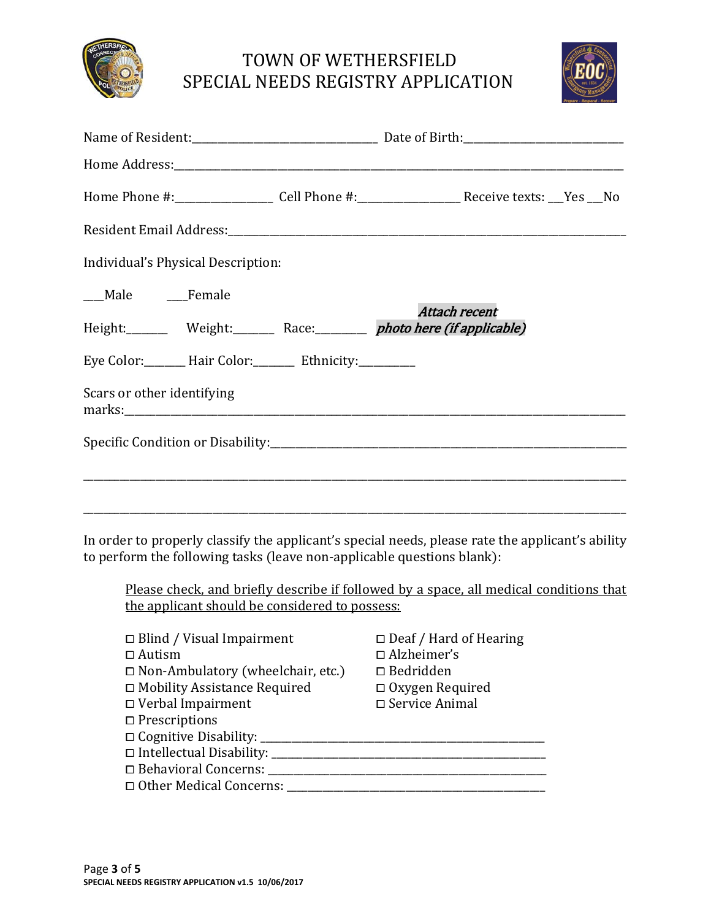

### TOWN OF WETHERSFIELD SPECIAL NEEDS REGISTRY APPLICATION



| Home Phone #:________________________Cell Phone #:_______________________________Receive texts: ___Yes ___No |               |  |
|--------------------------------------------------------------------------------------------------------------|---------------|--|
|                                                                                                              |               |  |
| Individual's Physical Description:                                                                           |               |  |
| ___Male ____Female                                                                                           |               |  |
| Height: Weight: Race: networkere (if applicable)                                                             | Attach recent |  |
| Eye Color: Hair Color: Ethnicity: _______                                                                    |               |  |
| Scars or other identifying                                                                                   |               |  |
|                                                                                                              |               |  |
|                                                                                                              |               |  |
|                                                                                                              |               |  |
|                                                                                                              |               |  |

In order to properly classify the applicant's special needs, please rate the applicant's ability to perform the following tasks (leave non-applicable questions blank):

Please check, and briefly describe if followed by a space, all medical conditions that the applicant should be considered to possess:

| $\Box$ Blind / Visual Impairment         | $\Box$ Deaf / Hard of Hearing |
|------------------------------------------|-------------------------------|
| $\Box$ Autism                            | $\Box$ Alzheimer's            |
| $\Box$ Non-Ambulatory (wheelchair, etc.) | $\Box$ Bedridden              |
| □ Mobility Assistance Required           | $\Box$ Oxygen Required        |
| $\Box$ Verbal Impairment                 | □ Service Animal              |
| $\Box$ Prescriptions                     |                               |
| □ Cognitive Disability: _____            |                               |
| $\Box$ Intellectual Disability: $\Box$   |                               |
| □ Behavioral Concerns: ___               |                               |
| □ Other Medical Concerns:                |                               |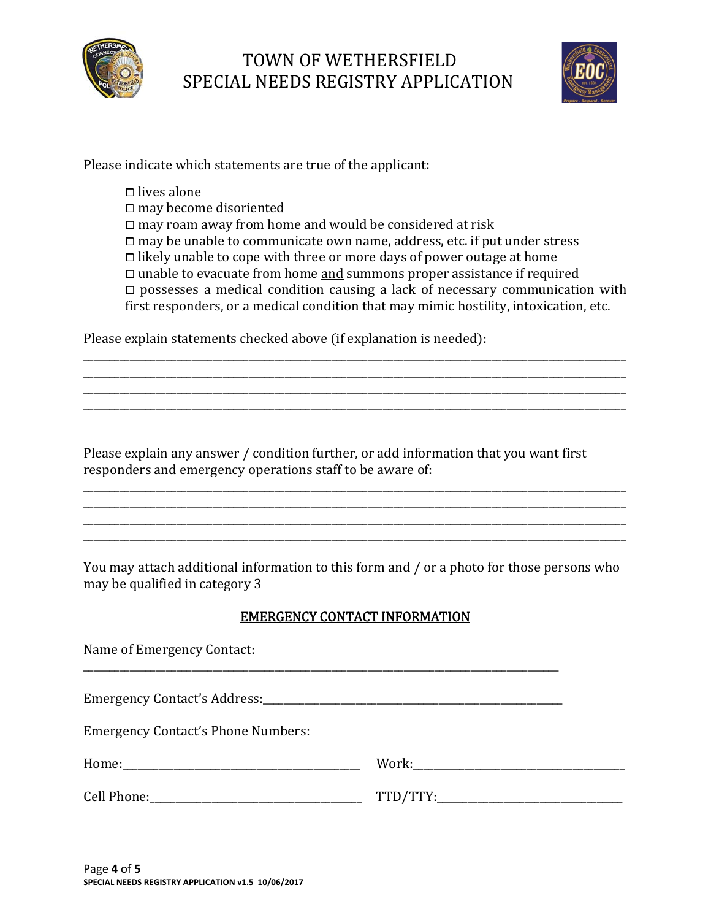

## TOWN OF WETHERSFIELD SPECIAL NEEDS REGISTRY APPLICATION



#### Please indicate which statements are true of the applicant:

 $\square$  lives alone  $\square$  may become disoriented  $\Box$  may roam away from home and would be considered at risk  $\Box$  may be unable to communicate own name, address, etc. if put under stress  $\Box$  likely unable to cope with three or more days of power outage at home  $\square$  unable to evacuate from home <u>and</u> summons proper assistance if required  $\Box$  possesses a medical condition causing a lack of necessary communication with first responders, or a medical condition that may mimic hostility, intoxication, etc.

Please explain statements checked above (if explanation is needed):

Please explain any answer / condition further, or add information that you want first responders and emergency operations staff to be aware of:

\_\_\_\_\_\_\_\_\_\_\_\_\_\_\_\_\_\_\_\_\_\_\_\_\_\_\_\_\_\_\_\_\_\_\_\_\_\_\_\_\_\_\_\_\_\_\_\_\_\_\_\_\_\_\_\_\_\_\_\_\_\_\_\_\_\_\_\_\_\_\_\_\_\_\_\_\_\_\_\_\_\_\_\_\_\_\_\_\_\_\_\_\_\_\_\_\_\_\_\_\_\_\_\_\_ \_\_\_\_\_\_\_\_\_\_\_\_\_\_\_\_\_\_\_\_\_\_\_\_\_\_\_\_\_\_\_\_\_\_\_\_\_\_\_\_\_\_\_\_\_\_\_\_\_\_\_\_\_\_\_\_\_\_\_\_\_\_\_\_\_\_\_\_\_\_\_\_\_\_\_\_\_\_\_\_\_\_\_\_\_\_\_\_\_\_\_\_\_\_\_\_\_\_\_\_\_\_\_\_\_ \_\_\_\_\_\_\_\_\_\_\_\_\_\_\_\_\_\_\_\_\_\_\_\_\_\_\_\_\_\_\_\_\_\_\_\_\_\_\_\_\_\_\_\_\_\_\_\_\_\_\_\_\_\_\_\_\_\_\_\_\_\_\_\_\_\_\_\_\_\_\_\_\_\_\_\_\_\_\_\_\_\_\_\_\_\_\_\_\_\_\_\_\_\_\_\_\_\_\_\_\_\_\_\_\_ \_\_\_\_\_\_\_\_\_\_\_\_\_\_\_\_\_\_\_\_\_\_\_\_\_\_\_\_\_\_\_\_\_\_\_\_\_\_\_\_\_\_\_\_\_\_\_\_\_\_\_\_\_\_\_\_\_\_\_\_\_\_\_\_\_\_\_\_\_\_\_\_\_\_\_\_\_\_\_\_\_\_\_\_\_\_\_\_\_\_\_\_\_\_\_\_\_\_\_\_\_\_\_\_\_ 

You may attach additional information to this form and / or a photo for those persons who may be qualified in category 3

\_\_\_\_\_\_\_\_\_\_\_\_\_\_\_\_\_\_\_\_\_\_\_\_\_\_\_\_\_\_\_\_\_\_\_\_\_\_\_\_\_\_\_\_\_\_\_\_\_\_\_\_\_\_\_\_\_\_\_\_\_\_\_\_\_\_\_\_\_\_\_\_\_\_\_\_\_\_\_\_\_\_\_\_\_\_\_\_\_\_\_\_\_\_\_\_\_\_\_\_\_\_\_\_\_ \_\_\_\_\_\_\_\_\_\_\_\_\_\_\_\_\_\_\_\_\_\_\_\_\_\_\_\_\_\_\_\_\_\_\_\_\_\_\_\_\_\_\_\_\_\_\_\_\_\_\_\_\_\_\_\_\_\_\_\_\_\_\_\_\_\_\_\_\_\_\_\_\_\_\_\_\_\_\_\_\_\_\_\_\_\_\_\_\_\_\_\_\_\_\_\_\_\_\_\_\_\_\_\_\_ \_\_\_\_\_\_\_\_\_\_\_\_\_\_\_\_\_\_\_\_\_\_\_\_\_\_\_\_\_\_\_\_\_\_\_\_\_\_\_\_\_\_\_\_\_\_\_\_\_\_\_\_\_\_\_\_\_\_\_\_\_\_\_\_\_\_\_\_\_\_\_\_\_\_\_\_\_\_\_\_\_\_\_\_\_\_\_\_\_\_\_\_\_\_\_\_\_\_\_\_\_\_\_\_\_ \_\_\_\_\_\_\_\_\_\_\_\_\_\_\_\_\_\_\_\_\_\_\_\_\_\_\_\_\_\_\_\_\_\_\_\_\_\_\_\_\_\_\_\_\_\_\_\_\_\_\_\_\_\_\_\_\_\_\_\_\_\_\_\_\_\_\_\_\_\_\_\_\_\_\_\_\_\_\_\_\_\_\_\_\_\_\_\_\_\_\_\_\_\_\_\_\_\_\_\_\_\_\_\_\_ 

#### EMERGENCY CONTACT INFORMATION

| Name of Emergency Contact:                |  |
|-------------------------------------------|--|
|                                           |  |
| <b>Emergency Contact's Phone Numbers:</b> |  |
|                                           |  |
|                                           |  |